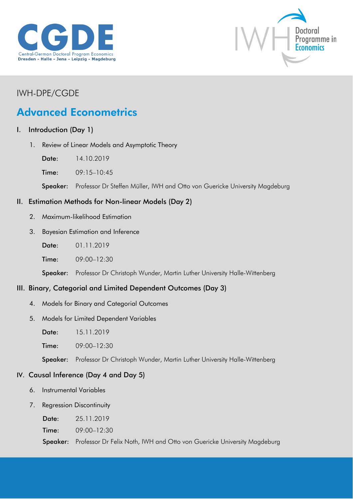



## IWH-DPE/CGDE

# Advanced Econometrics

#### I. Introduction (Day 1)

- 1. Review of Linear Models and Asymptotic Theory
	- Date: 14.10.2019
	- Time: 09:15-10:45

Speaker: Professor Dr Steffen Müller, IWH and Otto von Guericke University Magdeburg

#### II. Estimation Methods for Non-linear Models (Day 2)

- 2. Maximum-likelihood Estimation
- 3. Bayesian Estimation and Inference
	- Date: 01.11.2019
	- Time: 09:00–12:30

Speaker: Professor Dr Christoph Wunder, Martin Luther University Halle-Wittenberg

## III. Binary, Categorial and Limited Dependent Outcomes (Day 3)

- 4. Models for Binary and Categorial Outcomes
- 5. Models for Limited Dependent Variables

Date: 15.11.2019

**Time:** 09:00-12:30

Speaker: Professor Dr Christoph Wunder, Martin Luther University Halle-Wittenberg

#### IV. Causal Inference (Day 4 and Day 5)

- 6. Instrumental Variables
- 7. Regression Discontinuity

Time: 09:00–12:30

Speaker: Professor Dr Felix Noth, IWH and Otto von Guericke University Magdeburg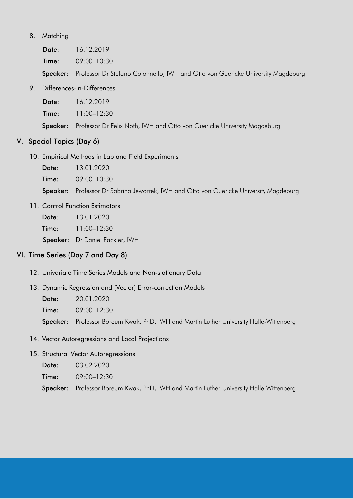#### 8. Matching

Date: 16.12.2019 Time: 09:00–10:30

Speaker: Professor Dr Stefano Colonnello, IWH and Otto von Guericke University Magdeburg

9. Differences-in-Differences

| Date: | 16.12.2019 |
|-------|------------|
|       |            |

Time: 11:00–12:30

Speaker: Professor Dr Felix Noth, IWH and Otto von Guericke University Magdeburg

#### V. Special Topics (Day 6)

10. Empirical Methods in Lab and Field Experiments

| Date: | 13.01.2020 |
|-------|------------|
|-------|------------|

Time: 09:00–10:30

Speaker: Professor Dr Sabrina Jeworrek, IWH and Otto von Guericke University Magdeburg

11. Control Function Estimators

Date: 13.01.2020

Time: 11:00-12:30

Speaker: Dr Daniel Fackler, IWH

#### VI. Time Series (Day 7 and Day 8)

- 12. Univariate Time Series Models and Non-stationary Data
- 13. Dynamic Regression and (Vector) Error-correction Models
	- Date: 20.01.2020
	- Time: 09:00–12:30

Speaker: Professor Boreum Kwak, PhD, IWH and Martin Luther University Halle-Wittenberg

- 14. Vector Autoregressions and Local Projections
- 15. Structural Vector Autoregressions

Date: 03.02.2020

Time: 09:00–12:30

Speaker: Professor Boreum Kwak, PhD, IWH and Martin Luther University Halle-Wittenberg